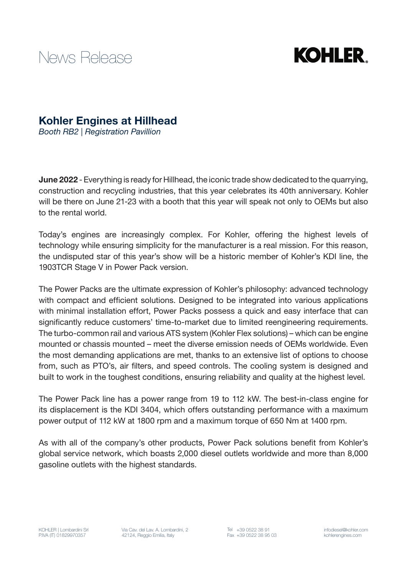



## Kohler Engines at Hillhead

*Booth RB2 | Registration Pavillion*

June 2022 - Everything is ready for Hillhead, the iconic trade show dedicated to the quarrying, construction and recycling industries, that this year celebrates its 40th anniversary. Kohler will be there on June 21-23 with a booth that this year will speak not only to OEMs but also to the rental world.

Today's engines are increasingly complex. For Kohler, offering the highest levels of technology while ensuring simplicity for the manufacturer is a real mission. For this reason, the undisputed star of this year's show will be a historic member of Kohler's KDI line, the 1903TCR Stage V in Power Pack version.

The Power Packs are the ultimate expression of Kohler's philosophy: advanced technology with compact and efficient solutions. Designed to be integrated into various applications with minimal installation effort, Power Packs possess a quick and easy interface that can significantly reduce customers' time-to-market due to limited reengineering requirements. The turbo-common rail and various ATS system (Kohler Flex solutions) – which can be engine mounted or chassis mounted – meet the diverse emission needs of OEMs worldwide. Even the most demanding applications are met, thanks to an extensive list of options to choose from, such as PTO's, air filters, and speed controls. The cooling system is designed and built to work in the toughest conditions, ensuring reliability and quality at the highest level.

The Power Pack line has a power range from 19 to 112 kW. The best-in-class engine for its displacement is the KDI 3404, which offers outstanding performance with a maximum power output of 112 kW at 1800 rpm and a maximum torque of 650 Nm at 1400 rpm.

As with all of the company's other products, Power Pack solutions benefit from Kohler's global service network, which boasts 2,000 diesel outlets worldwide and more than 8,000 gasoline outlets with the highest standards.